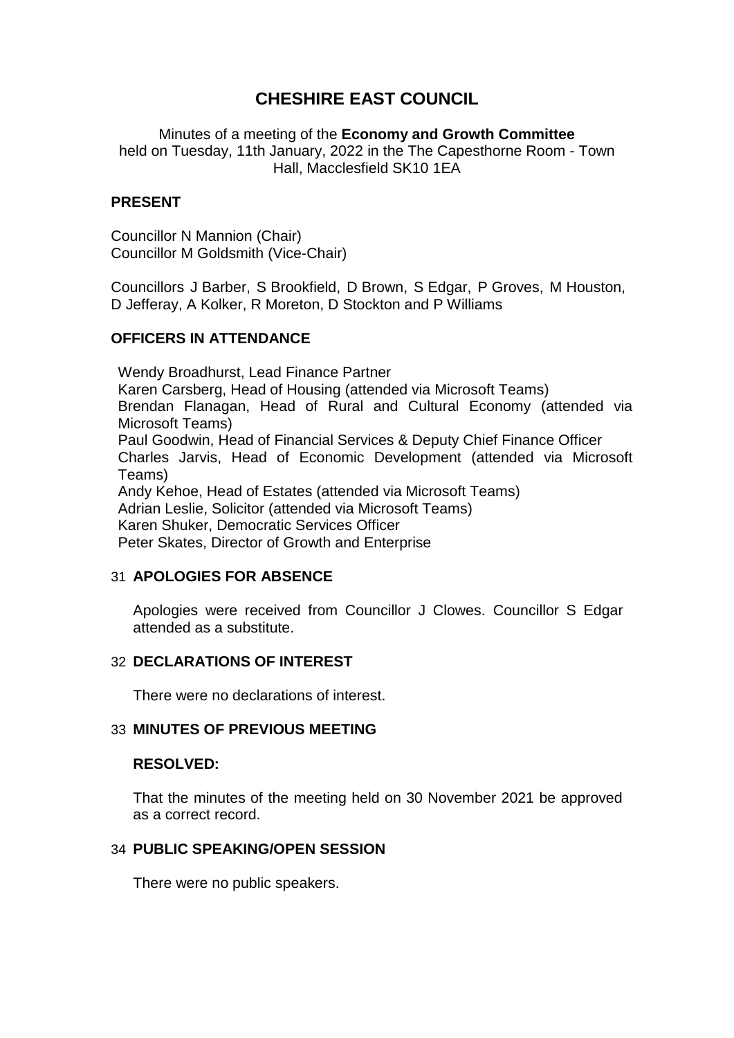# **CHESHIRE EAST COUNCIL**

Minutes of a meeting of the **Economy and Growth Committee** held on Tuesday, 11th January, 2022 in the The Capesthorne Room - Town Hall, Macclesfield SK10 1EA

## **PRESENT**

Councillor N Mannion (Chair) Councillor M Goldsmith (Vice-Chair)

Councillors J Barber, S Brookfield, D Brown, S Edgar, P Groves, M Houston, D Jefferay, A Kolker, R Moreton, D Stockton and P Williams

#### **OFFICERS IN ATTENDANCE**

Wendy Broadhurst, Lead Finance Partner Karen Carsberg, Head of Housing (attended via Microsoft Teams) Brendan Flanagan, Head of Rural and Cultural Economy (attended via Microsoft Teams) Paul Goodwin, Head of Financial Services & Deputy Chief Finance Officer Charles Jarvis, Head of Economic Development (attended via Microsoft Teams) Andy Kehoe, Head of Estates (attended via Microsoft Teams) Adrian Leslie, Solicitor (attended via Microsoft Teams) Karen Shuker, Democratic Services Officer Peter Skates, Director of Growth and Enterprise

## 31 **APOLOGIES FOR ABSENCE**

Apologies were received from Councillor J Clowes. Councillor S Edgar attended as a substitute.

#### 32 **DECLARATIONS OF INTEREST**

There were no declarations of interest.

#### 33 **MINUTES OF PREVIOUS MEETING**

#### **RESOLVED:**

That the minutes of the meeting held on 30 November 2021 be approved as a correct record.

#### 34 **PUBLIC SPEAKING/OPEN SESSION**

There were no public speakers.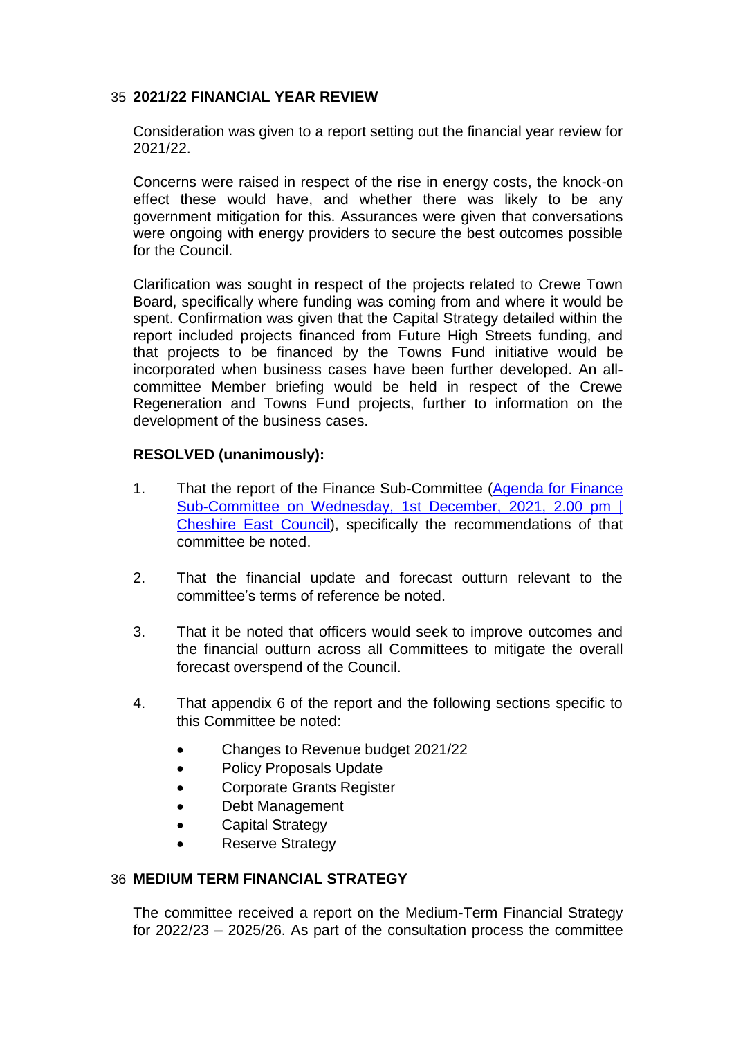## 35 **2021/22 FINANCIAL YEAR REVIEW**

Consideration was given to a report setting out the financial year review for 2021/22.

Concerns were raised in respect of the rise in energy costs, the knock-on effect these would have, and whether there was likely to be any government mitigation for this. Assurances were given that conversations were ongoing with energy providers to secure the best outcomes possible for the Council.

Clarification was sought in respect of the projects related to Crewe Town Board, specifically where funding was coming from and where it would be spent. Confirmation was given that the Capital Strategy detailed within the report included projects financed from Future High Streets funding, and that projects to be financed by the Towns Fund initiative would be incorporated when business cases have been further developed. An allcommittee Member briefing would be held in respect of the Crewe Regeneration and Towns Fund projects, further to information on the development of the business cases.

## **RESOLVED (unanimously):**

- 1. That the report of the Finance Sub-Committee [\(Agenda for Finance](http://moderngov.cheshireeast.gov.uk/ecminutes/ieListDocuments.aspx?CId=965&MId=9031&Ver=4)  [Sub-Committee on Wednesday, 1st December, 2021, 2.00 pm |](http://moderngov.cheshireeast.gov.uk/ecminutes/ieListDocuments.aspx?CId=965&MId=9031&Ver=4)  Cheshire [East Council\)](http://moderngov.cheshireeast.gov.uk/ecminutes/ieListDocuments.aspx?CId=965&MId=9031&Ver=4), specifically the recommendations of that committee be noted.
- 2. That the financial update and forecast outturn relevant to the committee's terms of reference be noted.
- 3. That it be noted that officers would seek to improve outcomes and the financial outturn across all Committees to mitigate the overall forecast overspend of the Council.
- 4. That appendix 6 of the report and the following sections specific to this Committee be noted:
	- Changes to Revenue budget 2021/22
	- Policy Proposals Update
	- Corporate Grants Register
	- Debt Management
	- Capital Strategy
	- Reserve Strategy

## 36 **MEDIUM TERM FINANCIAL STRATEGY**

The committee received a report on the Medium-Term Financial Strategy for 2022/23 – 2025/26. As part of the consultation process the committee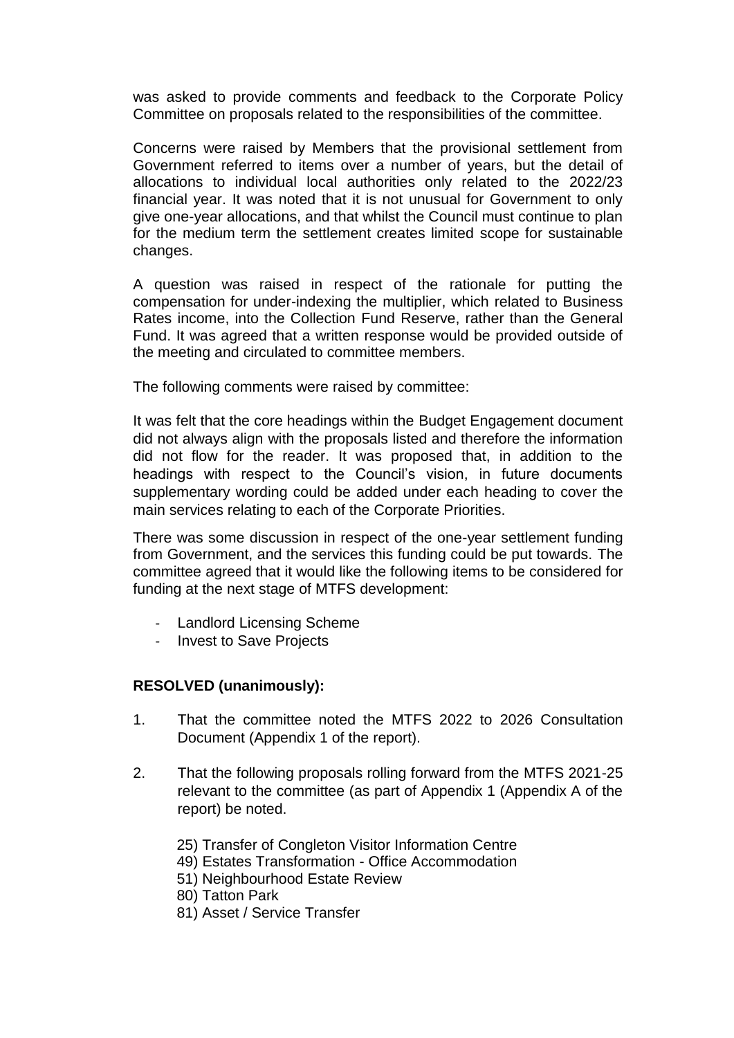was asked to provide comments and feedback to the Corporate Policy Committee on proposals related to the responsibilities of the committee.

Concerns were raised by Members that the provisional settlement from Government referred to items over a number of years, but the detail of allocations to individual local authorities only related to the 2022/23 financial year. It was noted that it is not unusual for Government to only give one-year allocations, and that whilst the Council must continue to plan for the medium term the settlement creates limited scope for sustainable changes.

A question was raised in respect of the rationale for putting the compensation for under-indexing the multiplier, which related to Business Rates income, into the Collection Fund Reserve, rather than the General Fund. It was agreed that a written response would be provided outside of the meeting and circulated to committee members.

The following comments were raised by committee:

It was felt that the core headings within the Budget Engagement document did not always align with the proposals listed and therefore the information did not flow for the reader. It was proposed that, in addition to the headings with respect to the Council's vision, in future documents supplementary wording could be added under each heading to cover the main services relating to each of the Corporate Priorities.

There was some discussion in respect of the one-year settlement funding from Government, and the services this funding could be put towards. The committee agreed that it would like the following items to be considered for funding at the next stage of MTFS development:

- Landlord Licensing Scheme
- Invest to Save Projects

## **RESOLVED (unanimously):**

- 1. That the committee noted the MTFS 2022 to 2026 Consultation Document (Appendix 1 of the report).
- 2. That the following proposals rolling forward from the MTFS 2021-25 relevant to the committee (as part of Appendix 1 (Appendix A of the report) be noted.
	- 25) Transfer of Congleton Visitor Information Centre
	- 49) Estates Transformation Office Accommodation
	- 51) Neighbourhood Estate Review
	- 80) Tatton Park
	- 81) Asset / Service Transfer